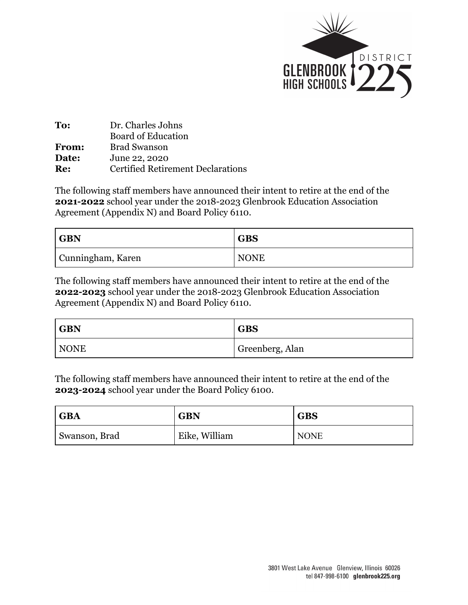

| To:          | Dr. Charles Johns                        |
|--------------|------------------------------------------|
|              | Board of Education                       |
| <b>From:</b> | <b>Brad Swanson</b>                      |
| Date:        | June 22, 2020                            |
| <b>Re:</b>   | <b>Certified Retirement Declarations</b> |

The following staff members have announced their intent to retire at the end of the **2021-2022** school year under the 2018-2023 Glenbrook Education Association Agreement (Appendix N) and Board Policy 6110.

| <b>GBN</b>        | <b>GBS</b>  |
|-------------------|-------------|
| Cunningham, Karen | <b>NONE</b> |

The following staff members have announced their intent to retire at the end of the **2022-2023** school year under the 2018-2023 Glenbrook Education Association Agreement (Appendix N) and Board Policy 6110.

| <b>GBN</b> | <b>GBS</b>      |
|------------|-----------------|
| NONE       | Greenberg, Alan |

The following staff members have announced their intent to retire at the end of the **2023-2024** school year under the Board Policy 6100.

| <b>GBA</b>    | <b>GBN</b>    | <b>GBS</b>  |
|---------------|---------------|-------------|
| Swanson, Brad | Eike, William | <b>NONE</b> |